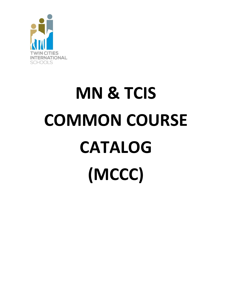

# **MN & TCIS COMMON COURSE CATALOG (MCCC)**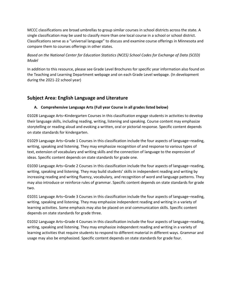MCCC classifications are broad umbrellas to group similar courses in school districts across the state. A single classification may be used to classify more than one local course in a school or school district. Classifications serve as a "universal language" to discuss and examine course offerings in Minnesota and compare them to courses offerings in other states.

## *Based on the National Center for Education Statistics (NCES) School Codes for Exchange of Data (SCED) Model*

In addition to this resource, please see Grade Level Brochures for specific year information also found on the Teaching and Learning Department webpage and on each Grade Level webpage. (In development during the 2021-22 school year)

# **Subject Area: English Language and Literature**

## **A. Comprehensive Language Arts (Full year Course in all grades listed below)**

01028 Language Arts–Kindergarten Courses in this classification engage students in activities to develop their language skills, including reading, writing, listening and speaking. Course content may emphasize storytelling or reading aloud and evoking a written, oral or pictorial response. Specific content depends on state standards for kindergarten.

01029 Language Arts–Grade 1 Courses in this classification include the four aspects of language–reading, writing, speaking and listening. They may emphasize recognition of and response to various types of text, extension of vocabulary and writing skills and the connection of language to the expression of ideas. Specific content depends on state standards for grade one.

01030 Language Arts–Grade 2 Courses in this classification include the four aspects of language–reading, writing, speaking and listening. They may build students' skills in independent reading and writing by increasing reading and writing fluency, vocabulary, and recognition of word and language patterns. They may also introduce or reinforce rules of grammar. Specific content depends on state standards for grade two.

01031 Language Arts–Grade 3 Courses in this classification include the four aspects of language–reading, writing, speaking and listening. They may emphasize independent reading and writing in a variety of learning activities. Some emphasis may also be placed on oral communication skills. Specific content depends on state standards for grade three.

01032 Language Arts–Grade 4 Courses in this classification include the four aspects of language–reading, writing, speaking and listening. They may emphasize independent reading and writing in a variety of learning activities that require students to respond to different material in different ways. Grammar and usage may also be emphasized. Specific content depends on state standards for grade four.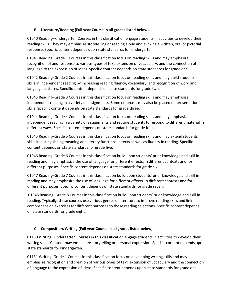#### **B. Literature/Reading (Full year Course in all grades listed below)**

01040 Reading–Kindergarten Courses in this classification engage students in activities to develop their reading skills. They may emphasize storytelling or reading aloud and evoking a written, oral or pictorial response. Specific content depends upon state standards for kindergarten.

01041 Reading–Grade 1 Courses in this classification focus on reading skills and may emphasize recognition of and response to various types of text, extension of vocabulary, and the connection of language to the expression of ideas. Specific content depends on state standards for grade one.

01042 Reading–Grade 2 Courses in this classification focus on reading skills and may build students' skills in independent reading by increasing reading fluency, vocabulary, and recognition of word and language patterns. Specific content depends on state standards for grade two.

01043 Reading–Grade 3 Courses in this classification focus on reading skills and may emphasize independent reading in a variety of assignments. Some emphasis may also be placed on presentation skills. Specific content depends on state standards for grade three.

01044 Reading–Grade 4 Courses in this classification focus on reading skills and may emphasize independent reading in a variety of assignments and require students to respond to different material in different ways. Specific content depends on state standards for grade four.

01045 Reading–Grade 5 Courses in this classification focus on reading skills and may extend students' skills in distinguishing meaning and literary functions in texts as well as fluency in reading. Specific content depends on state standards for grade five.

01046 Reading–Grade 6 Courses in this classification build upon students' prior knowledge and skill in reading and may emphasize the use of language for different effects, in different contexts and for different purposes. Specific content depends on state standards for grade six.

01047 Reading–Grade 7 Courses in this classification build upon students' prior knowledge and skill in reading and may emphasize the use of language for different effects, in different contexts and for different purposes. Specific content depends on state standards for grade seven.

01048 Reading–Grade 8 Courses in this classification build upon students' prior knowledge and skill in reading. Typically, these courses use various genres of literature to improve reading skills and link comprehension exercises for different purposes to those reading selections. Specific content depends on state standards for grade eight.

#### **C. Composition/Writing (Full year Course in all grades listed below)**

01130 Writing–Kindergarten Courses in this classification engage students in activities to develop their writing skills. Content may emphasize storytelling or personal expression. Specific content depends upon state standards for kindergarten.

01131 Writing–Grade 1 Courses in this classification focus on developing writing skills and may emphasize recognition and creation of various types of text, extension of vocabulary and the connection of language to the expression of ideas. Specific content depends upon state standards for grade one.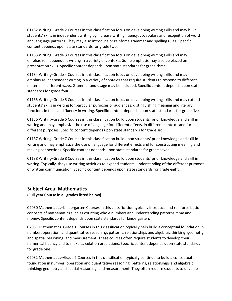01132 Writing–Grade 2 Courses in this classification focus on developing writing skills and may build students' skills in independent writing by increase writing fluency, vocabulary and recognition of word and language patterns. They may also introduce or reinforce grammar and spelling rules. Specific content depends upon state standards for grade two.

01133 Writing–Grade 3 Courses in this classification focus on developing writing skills and may emphasize independent writing in a variety of contexts. Some emphasis may also be placed on presentation skills. Specific content depends upon state standards for grade three.

01134 Writing–Grade 4 Courses in this classification focus on developing writing skills and may emphasize independent writing in a variety of contexts that require students to respond to different material in different ways. Grammar and usage may be included. Specific content depends upon state standards for grade four.

01135 Writing–Grade 5 Courses in this classification focus on developing writing skills and may extend students' skills in writing for particular purposes or audiences, distinguishing meaning and literary functions in texts and fluency in writing. Specific content depends upon state standards for grade five.

01136 Writing–Grade 6 Courses in this classification build upon students' prior knowledge and skill in writing and may emphasize the use of language for different effects, in different contexts and for different purposes. Specific content depends upon state standards for grade six.

01137 Writing–Grade 7 Courses in this classification build upon students' prior knowledge and skill in writing and may emphasize the use of language for different effects and for constructing meaning and making connections. Specific content depends upon state standards for grade seven.

01138 Writing–Grade 8 Courses in this classification build upon students' prior knowledge and skill in writing. Typically, they use writing activities to expand students' understanding of the different purposes of written communication. Specific content depends upon state standards for grade eight.

## **Subject Area: Mathematics**

**(Full year Course in all grades listed below)**

02030 Mathematics–Kindergarten Courses in this classification typically introduce and reinforce basic concepts of mathematics such as counting whole numbers and understanding patterns, time and money. Specific content depends upon state standards for kindergarten.

02031 Mathematics–Grade 1 Courses in this classification typically help build a conceptual foundation in number, operation, and quantitative reasoning; patterns, relationships and algebraic thinking; geometry and spatial reasoning; and measurement. These courses often require students to develop their numerical fluency and to make calculation predictions. Specific content depends upon state standards for grade one.

02032 Mathematics–Grade 2 Courses in this classification typically continue to build a conceptual foundation in number, operation and quantitative reasoning; patterns, relationships and algebraic thinking; geometry and spatial reasoning; and measurement. They often require students to develop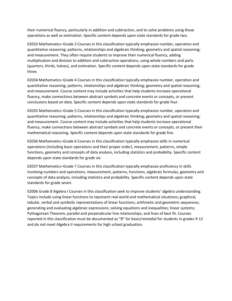their numerical fluency, particularly in addition and subtraction, and to solve problems using those operations as well as estimation. Specific content depends upon state standards for grade two.

02033 Mathematics–Grade 3 Courses in this classification typically emphasize number, operation and quantitative reasoning; patterns, relationships and algebraic thinking; geometry and spatial reasoning; and measurement. They often require students to improve their numerical fluency, adding multiplication and division to addition and subtraction operations, using whole numbers and parts (quarters, thirds, halves), and estimation. Specific content depends upon state standards for grade three.

02034 Mathematics–Grade 4 Courses in this classification typically emphasize number, operation and quantitative reasoning; patterns, relationships and algebraic thinking; geometry and spatial reasoning; and measurement. Course content may include activities that help students increase operational fluency, make connections between abstract symbols and concrete events or concepts, or present conclusions based on data. Specific content depends upon state standards for grade four.

02035 Mathematics–Grade 5 Courses in this classification typically emphasize number, operation and quantitative reasoning; patterns, relationships and algebraic thinking; geometry and spatial reasoning; and measurement. Course content may include activities that help students increase operational fluency, make connections between abstract symbols and concrete events or concepts, or present their mathematical reasoning. Specific content depends upon state standards for grade five.

02036 Mathematics–Grade 6 Courses in this classification typically emphasize skills in numerical operations (including basic operations and their proper order), measurement, patterns, simple functions, geometry and concepts of data analysis, including statistics and probability. Specific content depends upon state standards for grade six.

02037 Mathematics–Grade 7 Courses in this classification typically emphasize proficiency in skills involving numbers and operations, measurement, patterns, functions, algebraic formulas, geometry and concepts of data analysis, including statistics and probability. Specific content depends upon state standards for grade seven.

02006 Grade 8 Algebra I Courses in this classification seek to improve students' algebra understanding. Topics include using linear functions to represent real world and mathematical situations; graphical, tabular, verbal and symbolic representations of linear functions; arithmetic and geometric sequences; generating and evaluating algebraic expressions; solving equations and inequalities; linear systems; Pythagorean Theorem; parallel and perpendicular line relationships; and lines of best fit. Courses reported in this classification must be documented as "B" for basic/remedial for students in grades 9-12 and do not meet Algebra II requirements for high school graduation.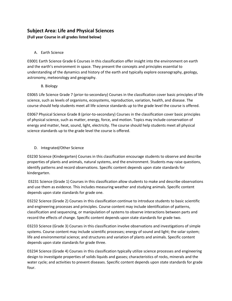# **Subject Area: Life and Physical Sciences**

**(Full year Course in all grades listed below)**

### A. Earth Science

03001 Earth Science Grade 6 Courses in this classification offer insight into the environment on earth and the earth's environment in space. They present the concepts and principles essential to understanding of the dynamics and history of the earth and typically explore oceanography, geology, astronomy, meteorology and geography.

#### B. Biology

03065 Life Science Grade 7 (prior-to-secondary) Courses in the classification cover basic principles of life science, such as levels of organisms, ecosystems, reproduction, variation, health, and disease. The course should help students meet all life science standards up to the grade level the course is offered.

03067 Physical Science Grade 8 (prior-to-secondary) Courses in the classification cover basic principles of physical science, such as matter, energy, force, and motion. Topics may include conservation of energy and matter, heat, sound, light, electricity. The course should help students meet all physical science standards up to the grade level the course is offered.

## D. Integrated/Other Science

03230 Science (Kindergarten) Courses in this classification encourage students to observe and describe properties of plants and animals, natural systems, and the environment. Students may raise questions, identify patterns and record observations. Specific content depends upon state standards for kindergarten.

03231 Science (Grade 1) Courses in this classification allow students to make and describe observations and use them as evidence. This includes measuring weather and studying animals. Specific content depends upon state standards for grade one.

03232 Science (Grade 2) Courses in this classification continue to introduce students to basic scientific and engineering processes and principles. Course content may include identification of patterns, classification and sequencing, or manipulation of systems to observe interactions between parts and record the effects of change. Specific content depends upon state standards for grade two.

03233 Science (Grade 3) Courses in this classification involve observations and investigations of simple systems. Course content may include scientific processes; energy of sound and light; the solar system; life and environmental science; and structures and variation of plants and animals. Specific content depends upon state standards for grade three.

03234 Science (Grade 4) Courses in this classification typically utilize science processes and engineering design to investigate properties of solids liquids and gasses; characteristics of rocks, minerals and the water cycle; and activities to prevent diseases. Specific content depends upon state standards for grade four.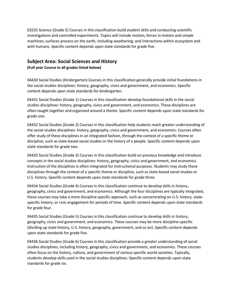03235 Science (Grade 5) Courses in this classification build student skills and conducting scientific investigations and controlled experiments. Topics will include motion, forces in motion and simple machines; surfaces process on the earth, including weathering; and interactions within ecosystem and with humans. Specific content depends upon state standards for grade five.

## **Subject Area: Social Sciences and History**

**(Full year Course in all grades listed below)**

04430 Social Studies (Kindergarten) Courses in this classification generally provide initial foundations in the social studies disciplines: history, geography, civics and government, and economics. Specific content depends upon state standards for kindergarten.

04431 Social Studies (Grade 1) Courses in this classification develop foundational skills in the social studies disciplines: history, geography, civics and government, and economics. These disciplines are often taught together and organized around a theme. Specific content depends upon state standards for grade one.

04432 Social Studies (Grade 2) Courses in this classification help students reach greater understanding of the social studies disciplines: history, geography, civics and government, and economics. Courses often offer study of these disciplines in an integrated fashion, through the context of a specific theme or discipline, such as state-based social studies or the history of a people. Specific content depends upon state standards for grade two.

04433 Social Studies (Grade 3) Courses in this classification build on previous knowledge and introduce concepts in the social studies disciplines: history, geography, civics and government, and economics. Instruction of the disciplines is often integrated for instructional purposes. Students may study these disciplines through the context of a specific theme or discipline, such as state-based social studies or U.S. history. Specific content depends upon state standards for grade three.

04434 Social Studies (Grade 4) Courses in this classification continue to develop skills in history, geography, civics and government, and economics. Although the four disciplines are typically integrated, these courses may take a more discipline specific approach, such as concentrating on U.S. history, statespecific history, or civic engagement for periods of time. Specific content depends upon state standards for grade four.

04435 Social Studies (Grade 5) Courses in this classification continue to develop skills in history, geography, civics and government, and economics. These courses may be more discipline-specific (dividing up state history, U.S. history, geography, government, and so on). Specific content depends upon state standards for grade five.

04436 Social Studies (Grade 6) Courses in this classification provide a greater understanding of social studies disciplines, including history, geography, civics and government, and economics. These courses often focus on the history, culture, and government of various specific world societies. Typically, students develop skills used in the social studies disciplines. Specific content depends upon state standards for grade six.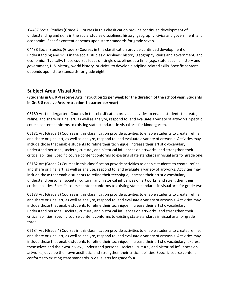04437 Social Studies (Grade 7) Courses in this classification provide continued development of understanding and skills in the social studies disciplines: history, geography, civics and government, and economics. Specific content depends upon state standards for grade seven.

04438 Social Studies (Grade 8) Courses in this classification provide continued development of understanding and skills in the social studies disciplines: history, geography, civics and government, and economics. Typically, these courses focus on single disciplines at a time (e.g., state-specific history and government, U.S. history, world history, or civics) to develop discipline-related skills. Specific content depends upon state standards for grade eight.

## **Subject Area: Visual Arts**

### **(Students in Gr. K-4 receive Arts instruction 1x per week for the duration of the school year, Students in Gr. 5-8 receive Arts instruction 1 quarter per year)**

05180 Art (Kindergarten) Courses in this classification provide activities to enable students to create, refine, and share original art, as well as analyze, respond to, and evaluate a variety of artworks. Specific course content conforms to existing state standards in visual arts for kindergarten.

05181 Art (Grade 1) Courses in this classification provide activities to enable students to create, refine, and share original art, as well as analyze, respond to, and evaluate a variety of artworks. Activities may include those that enable students to refine their technique, increase their artistic vocabulary, understand personal, societal, cultural, and historical influences on artworks, and strengthen their critical abilities. Specific course content conforms to existing state standards in visual arts for grade one.

05182 Art (Grade 2) Courses in this classification provide activities to enable students to create, refine, and share original art, as well as analyze, respond to, and evaluate a variety of artworks. Activities may include those that enable students to refine their technique, increase their artistic vocabulary, understand personal, societal, cultural, and historical influences on artworks, and strengthen their critical abilities. Specific course content conforms to existing state standards in visual arts for grade two.

05183 Art (Grade 3) Courses in this classification provide activities to enable students to create, refine, and share original art, as well as analyze, respond to, and evaluate a variety of artworks. Activities may include those that enable students to refine their technique, increase their artistic vocabulary, understand personal, societal, cultural, and historical influences on artworks, and strengthen their critical abilities. Specific course content conforms to existing state standards in visual arts for grade three.

05184 Art (Grade 4) Courses in this classification provide activities to enable students to create, refine, and share original art, as well as analyze, respond to, and evaluate a variety of artworks. Activities may include those that enable students to refine their technique, increase their artistic vocabulary, express themselves and their world view, understand personal, societal, cultural, and historical influences on artworks, develop their own aesthetic, and strengthen their critical abilities. Specific course content conforms to existing state standards in visual arts for grade four.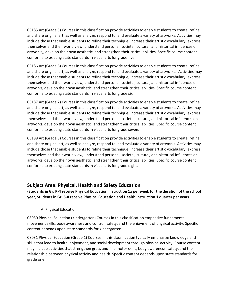05185 Art (Grade 5) Courses in this classification provide activities to enable students to create, refine, and share original art, as well as analyze, respond to, and evaluate a variety of artworks. Activities may include those that enable students to refine their technique, increase their artistic vocabulary, express themselves and their world view, understand personal, societal, cultural, and historical influences on artworks,, develop their own aesthetic, and strengthen their critical abilities. Specific course content conforms to existing state standards in visual arts for grade five.

05186 Art (Grade 6) Courses in this classification provide activities to enable students to create, refine, and share original art, as well as analyze, respond to, and evaluate a variety of artworks.. Activities may include those that enable students to refine their technique, increase their artistic vocabulary, express themselves and their world view, understand personal, societal, cultural, and historical influences on artworks, develop their own aesthetic, and strengthen their critical abilities. Specific course content conforms to existing state standards in visual arts for grade six.

05187 Art (Grade 7) Courses in this classification provide activities to enable students to create, refine, and share original art, as well as analyze, respond to, and evaluate a variety of artworks. Activities may include those that enable students to refine their technique, increase their artistic vocabulary, express themselves and their world view, understand personal, societal, cultural, and historical influences on artworks, develop their own aesthetic, and strengthen their critical abilities. Specific course content conforms to existing state standards in visual arts for grade seven.

05188 Art (Grade 8) Courses in this classification provide activities to enable students to create, refine, and share original art, as well as analyze, respond to, and evaluate a variety of artworks. Activities may include those that enable students to refine their technique, increase their artistic vocabulary, express themselves and their world view, understand personal, societal, cultural, and historical influences on artworks, develop their own aesthetic, and strengthen their critical abilities. Specific course content conforms to existing state standards in visual arts for grade eight.

# **Subject Area: Physical, Health and Safety Education**

**(Students in Gr. K-4 receive Physical Education instruction 1x per week for the duration of the school year, Students in Gr. 5-8 receive Physical Education and Health instruction 1 quarter per year)**

#### A. Physical Education

08030 Physical Education (Kindergarten) Courses in this classification emphasize fundamental movement skills, body awareness and control, safety, and the enjoyment of physical activity. Specific content depends upon state standards for kindergarten.

08031 Physical Education (Grade 1) Courses in this classification typically emphasize knowledge and skills that lead to health, enjoyment, and social development through physical activity. Course content may include activities that strengthen gross and fine motor skills, body awareness, safety, and the relationship between physical activity and health. Specific content depends upon state standards for grade one.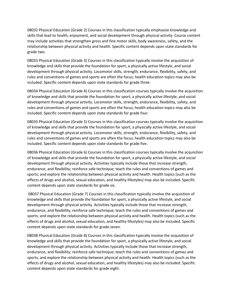08032 Physical Education (Grade 2) Courses in this classification typically emphasize knowledge and skills that lead to health, enjoyment, and social development through physical activity. Course content may include activities that strengthen gross and fine motor skills, body awareness, safety, and the relationship between physical activity and health. Specific content depends upon state standards for grade two.

08033 Physical Education (Grade 3) Courses in this classification typically involve the acquisition of knowledge and skills that provide the foundation for sport, a physically active lifestyle, and social development through physical activity. Locomotor skills, strength, endurance, flexibility, safety, and rules and conventions of games and sports are often the focus; health education topics may also be included. Specific content depends upon state standards for grade three.

08034 Physical Education (Grade 4) Courses in this classification courses typically involve the acquisition of knowledge and skills that provide the foundation for sport, a physically active lifestyle, and social development through physical activity. Locomotor skills, strength, endurance, flexibility, safety, and rules and conventions of games and sports are often the focus; health education topics may also be included. Specific content depends upon state standards for grade four.

08035 Physical Education (Grade 5) Courses in this classification courses typically involve the acquisition of knowledge and skills that provide the foundation for sport, a physically active lifestyle, and social development through physical activity. Locomotor skills, strength, endurance, flexibility, safety, and rules and conventions of games and sports are often the focus; health education topics may also be included. Specific content depends upon state standards for grade five.

08036 Physical Education (Grade 6) Courses in this classification courses typically involve the acquisition of knowledge and skills that provide the foundation for sport, a physically active lifestyle, and social development through physical activity. Activities typically include those that increase strength, endurance, and flexibility; reinforce safe technique; teach the rules and conventions of games and sports; and explore the relationship between physical activity and health. Health topics (such as the effects of drugs and alcohol, sexual education, and healthy lifestyles) may also be included. Specific content depends upon state standards for grade six.

08037 Physical Education (Grade 7) Courses in this classification typically involve the acquisition of knowledge and skills that provide the foundation for sport, a physically active lifestyle, and social development through physical activity. Activities typically include those that increase strength, endurance, and flexibility; reinforce safe technique; teach the rules and conventions of games and sports; and explore the relationship between physical activity and health. Health topics (such as the effects of drugs and alcohol, sexual education, and healthy lifestyles) may also be included. Specific content depends upon state standards for grade seven.

08038 Physical Education (Grade 8) Courses in this classification typically involve the acquisition of knowledge and skills that provide the foundation for sport, a physically active lifestyle, and social development through physical activity. Activities typically include those that increase strength, endurance, and flexibility; reinforce safe technique; teach the rules and conventions of games and sports; and explore the relationship between physical activity and health. Health topics (such as the effects of drugs and alcohol, sexual education, and healthy lifestyles) may also be included. Specific content depends upon state standards for grade eight.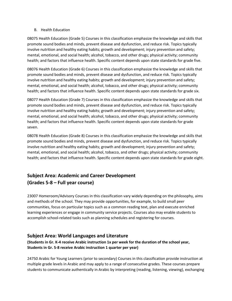#### B. Health Education

08075 Health Education (Grade 5) Courses in this classification emphasize the knowledge and skills that promote sound bodies and minds, prevent disease and dysfunction, and reduce risk. Topics typically involve nutrition and healthy eating habits; growth and development; injury prevention and safety; mental, emotional, and social health; alcohol, tobacco, and other drugs; physical activity; community health; and factors that influence health. Specific content depends upon state standards for grade five.

08076 Health Education (Grade 6) Courses in this classification emphasize the knowledge and skills that promote sound bodies and minds, prevent disease and dysfunction, and reduce risk. Topics typically involve nutrition and healthy eating habits; growth and development; injury prevention and safety; mental, emotional, and social health; alcohol, tobacco, and other drugs; physical activity; community health; and factors that influence health. Specific content depends upon state standards for grade six.

08077 Health Education (Grade 7) Courses in this classification emphasize the knowledge and skills that promote sound bodies and minds, prevent disease and dysfunction, and reduce risk. Topics typically involve nutrition and healthy eating habits; growth and development; injury prevention and safety; mental, emotional, and social health; alcohol, tobacco, and other drugs; physical activity; community health; and factors that influence health. Specific content depends upon state standards for grade seven.

08078 Health Education (Grade 8) Courses in this classification emphasize the knowledge and skills that promote sound bodies and minds, prevent disease and dysfunction, and reduce risk. Topics typically involve nutrition and healthy eating habits; growth and development; injury prevention and safety; mental, emotional, and social health; alcohol, tobacco, and other drugs; physical activity; community health; and factors that influence health. Specific content depends upon state standards for grade eight.

# **Subject Area: Academic and Career Development (Grades 5-8 – Full year course)**

23007 Homeroom/Advisory Courses in this classification vary widely depending on the philosophy, aims and methods of the school. They may provide opportunities, for example, to build small peer communities, focus on particular topics such as a common reading text, plan and execute enriched learning experiences or engage in community service projects. Courses also may enable students to accomplish school-related tasks such as planning schedules and registering for courses.

## **Subject Area: World Languages and Literature**

**(Students in Gr. K-4 receive Arabic instruction 1x per week for the duration of the school year, Students in Gr. 5-8 receive Arabic instruction 1 quarter per year)**

24750 Arabic for Young Learners (prior to secondary) Courses in this classification provide instruction at multiple grade levels in Arabic and may apply to a range of consecutive grades. These courses prepare students to communicate authentically in Arabic by interpreting (reading, listening, viewing), exchanging